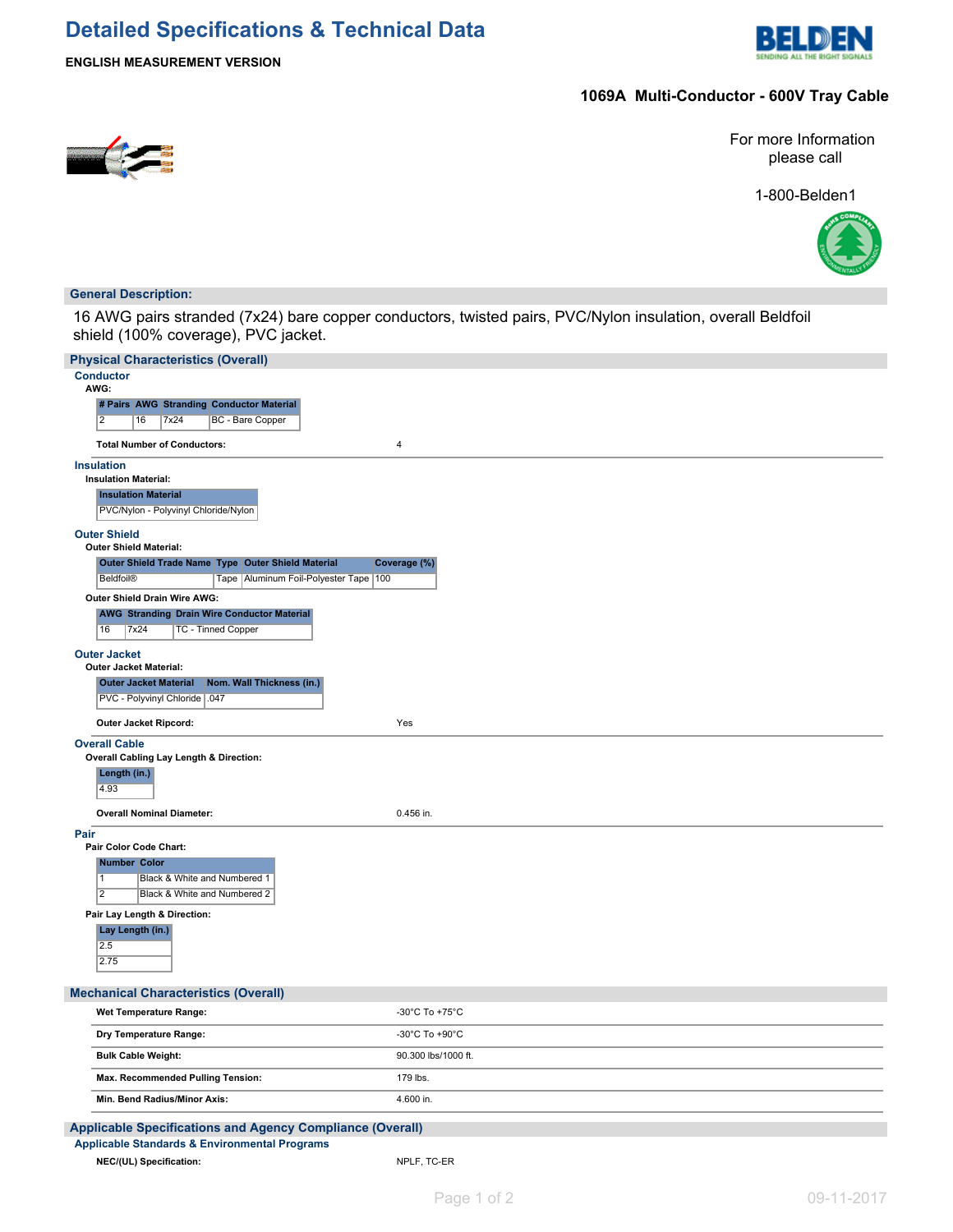# **Detailed Specifications & Technical Data**



**ENGLISH MEASUREMENT VERSION**

## **1069A Multi-Conductor - 600V Tray Cable**



For more Information please call

1-800-Belden1



## **General Description:**

16 AWG pairs stranded (7x24) bare copper conductors, twisted pairs, PVC/Nylon insulation, overall Beldfoil shield (100% coverage), PVC jacket.

| <b>Physical Characteristics (Overall)</b>                                                      |                                      |
|------------------------------------------------------------------------------------------------|--------------------------------------|
| <b>Conductor</b><br>AWG:                                                                       |                                      |
| # Pairs AWG Stranding Conductor Material                                                       |                                      |
| $\overline{2}$<br>7x24<br><b>BC</b> - Bare Copper<br>16                                        |                                      |
| <b>Total Number of Conductors:</b><br>4                                                        |                                      |
| <b>Insulation</b>                                                                              |                                      |
| <b>Insulation Material:</b>                                                                    |                                      |
| <b>Insulation Material</b><br>PVC/Nylon - Polyvinyl Chloride/Nylon                             |                                      |
| <b>Outer Shield</b>                                                                            |                                      |
| <b>Outer Shield Material:</b>                                                                  |                                      |
| Outer Shield Trade Name Type Outer Shield Material<br>Coverage (%)                             |                                      |
| <b>Beldfoil®</b><br>Tape   Aluminum Foil-Polyester Tape   100                                  |                                      |
| Outer Shield Drain Wire AWG:                                                                   |                                      |
| <b>AWG Stranding Drain Wire Conductor Material</b><br>16<br>7x24<br><b>TC - Tinned Copper</b>  |                                      |
| <b>Outer Jacket</b><br><b>Outer Jacket Material:</b>                                           |                                      |
| <b>Outer Jacket Material</b><br>Nom. Wall Thickness (in.)                                      |                                      |
| PVC - Polyvinyl Chloride   .047                                                                |                                      |
| Outer Jacket Ripcord:<br>Yes                                                                   |                                      |
| <b>Overall Cable</b>                                                                           |                                      |
| Overall Cabling Lay Length & Direction:<br>Length (in.)                                        |                                      |
| 4.93                                                                                           |                                      |
| <b>Overall Nominal Diameter:</b>                                                               | 0.456 in.                            |
| Pair                                                                                           |                                      |
| Pair Color Code Chart:                                                                         |                                      |
| <b>Number Color</b>                                                                            |                                      |
| Black & White and Numbered 1<br>$\mathbf{1}$<br>$\overline{2}$<br>Black & White and Numbered 2 |                                      |
|                                                                                                |                                      |
| Pair Lay Length & Direction:<br>Lay Length (in.)                                               |                                      |
| 2.5                                                                                            |                                      |
| 2.75                                                                                           |                                      |
| <b>Mechanical Characteristics (Overall)</b>                                                    |                                      |
| Wet Temperature Range:                                                                         | -30°C To +75°C                       |
| Dry Temperature Range:                                                                         | -30 $^{\circ}$ C To +90 $^{\circ}$ C |
| <b>Bulk Cable Weight:</b>                                                                      | 90.300 lbs/1000 ft.                  |
| Max. Recommended Pulling Tension:                                                              | 179 lbs.                             |
| Min. Bend Radius/Minor Axis:                                                                   | 4.600 in.                            |
| Applicable Specifications and Agency Compliance (Overall)                                      |                                      |
| Applicable Standards & Environmental Programs                                                  |                                      |
| NEC/(UL) Specification:                                                                        | NPLF, TC-ER                          |